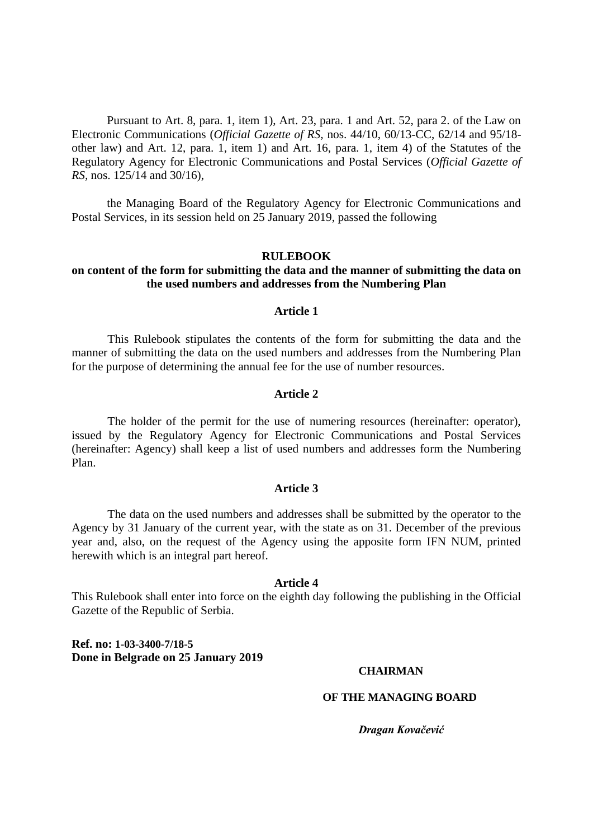Pursuant to Art. 8, para. 1, item 1), Art. 23, para. 1 and Art. 52, para 2. of the Law on Electronic Communications (*Official Gazette of RS,* nos. 44/10, 60/13-CC, 62/14 and 95/18 other law) and Art. 12, para. 1, item 1) and Art. 16, para. 1, item 4) of the Statutes of the Regulatory Agency for Electronic Communications and Postal Services (*Official Gazette of RS,* nos. 125/14 and 30/16),

the Managing Board of the Regulatory Agency for Electronic Communications and Postal Services, in its session held on 25 January 2019, passed the following

### **RULEBOOK**

## **on content of the form for submitting the data and the manner of submitting the data on the used numbers and addresses from the Numbering Plan**

## **Article 1**

This Rulebook stipulates the contents of the form for submitting the data and the manner of submitting the data on the used numbers and addresses from the Numbering Plan for the purpose of determining the annual fee for the use of number resources.

#### **Article 2**

The holder of the permit for the use of numering resources (hereinafter: operator), issued by the Regulatory Agency for Electronic Communications and Postal Services (hereinafter: Agency) shall keep a list of used numbers and addresses form the Numbering Plan.

#### **Article 3**

The data on the used numbers and addresses shall be submitted by the operator to the Agency by 31 January of the current year, with the state as on 31. December of the previous year and, also, on the request of the Agency using the apposite form IFN NUM, printed herewith which is an integral part hereof.

### **Article 4**

This Rulebook shall enter into force on the eighth day following the publishing in the Official Gazette of the Republic of Serbia.

**Ref. no: 1-03-3400-7/18-5 Done in Belgrade on 25 January 2019**

## **CHAIRMAN**

#### **OF THE MANAGING BOARD**

*Dragan Kovačević*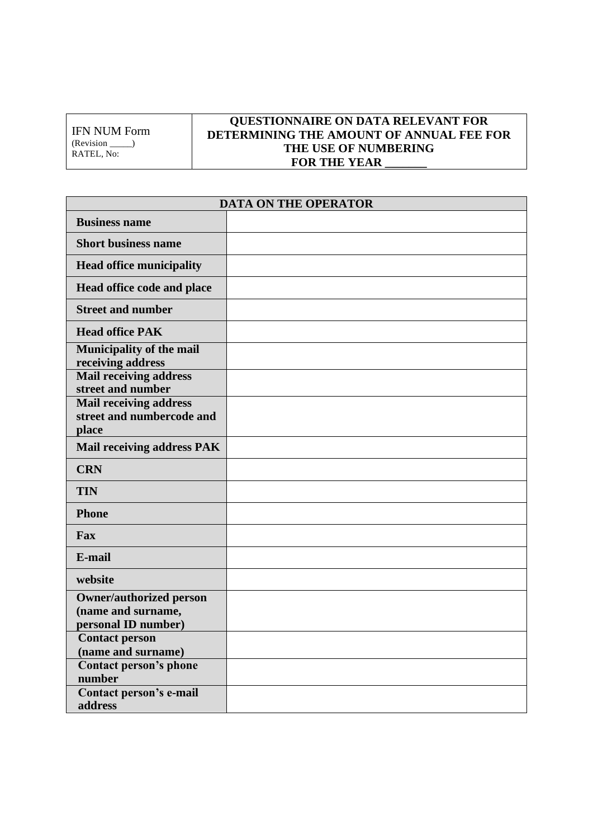IFN NUM Form (Revision \_\_\_\_\_) RATEL, No:

# **QUESTIONNAIRE ON DATA RELEVANT FOR DETERMINING THE AMOUNT OF ANNUAL FEE FOR THE USE OF NUMBERING**  FOR THE YEAR  $\overline{\phantom{a}}$

| <b>DATA ON THE OPERATOR</b>                                                 |  |  |  |  |  |
|-----------------------------------------------------------------------------|--|--|--|--|--|
| <b>Business name</b>                                                        |  |  |  |  |  |
| <b>Short business name</b>                                                  |  |  |  |  |  |
| <b>Head office municipality</b>                                             |  |  |  |  |  |
| Head office code and place                                                  |  |  |  |  |  |
| <b>Street and number</b>                                                    |  |  |  |  |  |
| <b>Head office PAK</b>                                                      |  |  |  |  |  |
| <b>Municipality of the mail</b><br>receiving address                        |  |  |  |  |  |
| <b>Mail receiving address</b><br>street and number                          |  |  |  |  |  |
| <b>Mail receiving address</b><br>street and numbercode and<br>place         |  |  |  |  |  |
| <b>Mail receiving address PAK</b>                                           |  |  |  |  |  |
| <b>CRN</b>                                                                  |  |  |  |  |  |
| <b>TIN</b>                                                                  |  |  |  |  |  |
| <b>Phone</b>                                                                |  |  |  |  |  |
| Fax                                                                         |  |  |  |  |  |
| E-mail                                                                      |  |  |  |  |  |
| website                                                                     |  |  |  |  |  |
| <b>Owner/authorized person</b><br>(name and surname,<br>personal ID number) |  |  |  |  |  |
| <b>Contact person</b><br>(name and surname)                                 |  |  |  |  |  |
| <b>Contact person's phone</b><br>number                                     |  |  |  |  |  |
| Contact person's e-mail<br>address                                          |  |  |  |  |  |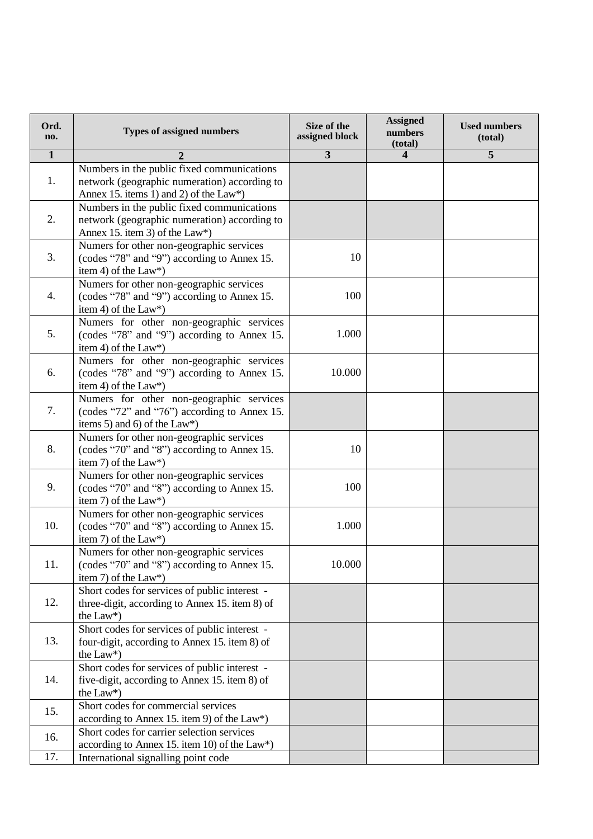| Ord.<br>no.    | <b>Types of assigned numbers</b>                                                                                                         | Size of the<br>assigned block | <b>Assigned</b><br>numbers<br>(total) | <b>Used numbers</b><br>(total) |
|----------------|------------------------------------------------------------------------------------------------------------------------------------------|-------------------------------|---------------------------------------|--------------------------------|
| $\overline{1}$ | $\overline{2}$                                                                                                                           | $\overline{\mathbf{3}}$       | $\overline{\mathbf{4}}$               | 5                              |
| 1.             | Numbers in the public fixed communications<br>network (geographic numeration) according to<br>Annex 15. items 1) and 2) of the $Law^*$ ) |                               |                                       |                                |
| 2.             | Numbers in the public fixed communications<br>network (geographic numeration) according to<br>Annex 15. item 3) of the Law*)             |                               |                                       |                                |
| 3.             | Numers for other non-geographic services<br>(codes "78" and "9") according to Annex 15.<br>item 4) of the Law*)                          | 10                            |                                       |                                |
| 4.             | Numers for other non-geographic services<br>(codes "78" and "9") according to Annex 15.<br>item 4) of the Law*)                          | 100                           |                                       |                                |
| 5.             | Numers for other non-geographic services<br>(codes "78" and "9") according to Annex 15.<br>item 4) of the Law*)                          | 1.000                         |                                       |                                |
| 6.             | Numers for other non-geographic services<br>(codes "78" and "9") according to Annex 15.<br>item 4) of the Law*)                          | 10.000                        |                                       |                                |
| 7.             | Numers for other non-geographic services<br>(codes "72" and "76") according to Annex 15.<br>items 5) and 6) of the Law*)                 |                               |                                       |                                |
| 8.             | Numers for other non-geographic services<br>(codes "70" and "8") according to Annex 15.<br>item 7) of the Law*)                          | 10                            |                                       |                                |
| 9.             | Numers for other non-geographic services<br>(codes "70" and "8") according to Annex 15.<br>item 7) of the Law*)                          | 100                           |                                       |                                |
| 10.            | Numers for other non-geographic services<br>(codes "70" and "8") according to Annex 15.<br>item 7) of the Law*)                          | 1.000                         |                                       |                                |
| 11.            | Numers for other non-geographic services<br>(codes "70" and "8") according to Annex 15.<br>item 7) of the Law*)                          | 10.000                        |                                       |                                |
| 12.            | Short codes for services of public interest -<br>three-digit, according to Annex 15. item 8) of<br>the Law*)                             |                               |                                       |                                |
| 13.            | Short codes for services of public interest -<br>four-digit, according to Annex 15. item 8) of<br>the Law*)                              |                               |                                       |                                |
| 14.            | Short codes for services of public interest -<br>five-digit, according to Annex 15. item 8) of<br>the Law*)                              |                               |                                       |                                |
| 15.            | Short codes for commercial services<br>according to Annex 15. item 9) of the Law*)                                                       |                               |                                       |                                |
| 16.            | Short codes for carrier selection services<br>according to Annex 15. item 10) of the Law*)                                               |                               |                                       |                                |
| 17.            | International signalling point code                                                                                                      |                               |                                       |                                |